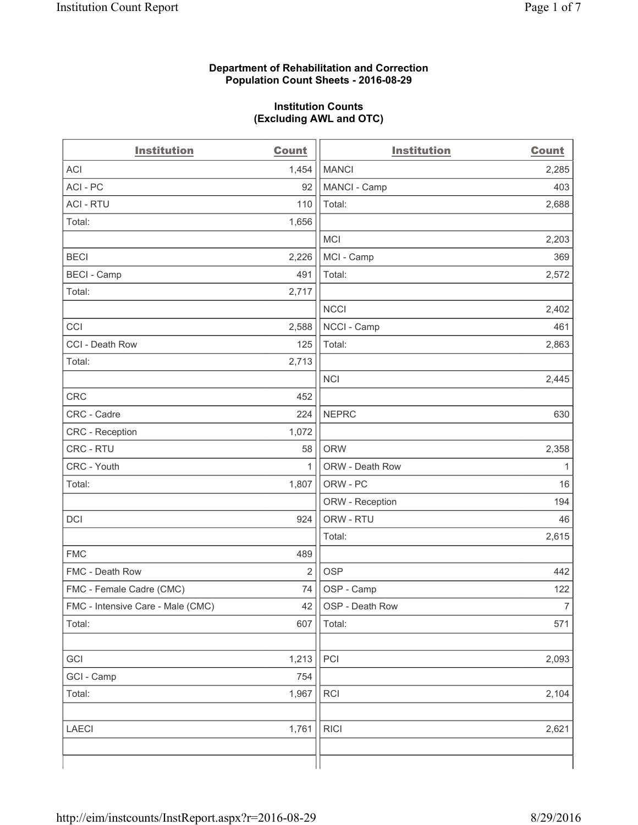#### **Department of Rehabilitation and Correction Population Count Sheets - 2016-08-29**

#### **Institution Counts (Excluding AWL and OTC)**

| <b>Institution</b>                | <b>Count</b>   | <b>Institution</b> | <b>Count</b>   |
|-----------------------------------|----------------|--------------------|----------------|
| <b>ACI</b>                        | 1,454          | <b>MANCI</b>       | 2,285          |
| ACI - PC                          | 92             | MANCI - Camp       | 403            |
| <b>ACI - RTU</b>                  | 110            | Total:             | 2,688          |
| Total:                            | 1,656          |                    |                |
|                                   |                | <b>MCI</b>         | 2,203          |
| <b>BECI</b>                       | 2,226          | MCI - Camp         | 369            |
| <b>BECI - Camp</b>                | 491            | Total:             | 2,572          |
| Total:                            | 2,717          |                    |                |
|                                   |                | <b>NCCI</b>        | 2,402          |
| CCI                               | 2,588          | NCCI - Camp        | 461            |
| CCI - Death Row                   | 125            | Total:             | 2,863          |
| Total:                            | 2,713          |                    |                |
|                                   |                | <b>NCI</b>         | 2,445          |
| CRC                               | 452            |                    |                |
| CRC - Cadre                       | 224            | <b>NEPRC</b>       | 630            |
| CRC - Reception                   | 1,072          |                    |                |
| CRC - RTU                         | 58             | <b>ORW</b>         | 2,358          |
| CRC - Youth                       | $\mathbf{1}$   | ORW - Death Row    | $\mathbf{1}$   |
| Total:                            | 1,807          | ORW - PC           | 16             |
|                                   |                | ORW - Reception    | 194            |
| DCI                               | 924            | ORW - RTU          | 46             |
|                                   |                | Total:             | 2,615          |
| <b>FMC</b>                        | 489            |                    |                |
| FMC - Death Row                   | $\overline{2}$ | <b>OSP</b>         | 442            |
| FMC - Female Cadre (CMC)          | 74             | OSP - Camp         | 122            |
| FMC - Intensive Care - Male (CMC) | 42             | OSP - Death Row    | 7 <sup>1</sup> |
| Total:                            | 607            | Total:             | 571            |
|                                   |                |                    |                |
| GCI                               | 1,213          | PCI                | 2,093          |
| GCI - Camp                        | 754            |                    |                |
| Total:                            | 1,967          | RCI                | 2,104          |
|                                   |                |                    |                |
| <b>LAECI</b>                      | 1,761          | <b>RICI</b>        | 2,621          |
|                                   |                |                    |                |
|                                   |                |                    |                |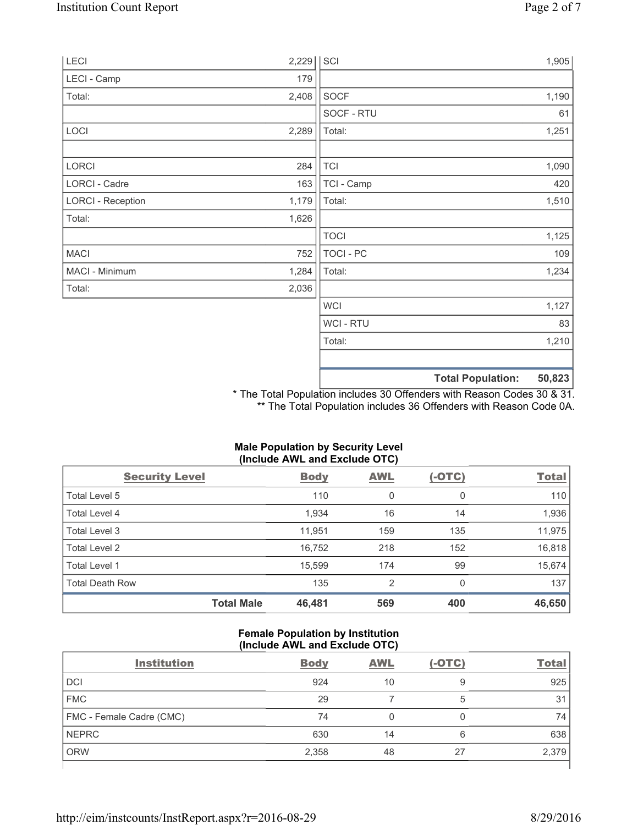| LECI                     | 2,229 | SCI              |                          | 1,905  |
|--------------------------|-------|------------------|--------------------------|--------|
| LECI - Camp              | 179   |                  |                          |        |
| Total:                   | 2,408 | SOCF             |                          | 1,190  |
|                          |       | SOCF - RTU       |                          | 61     |
| LOCI                     | 2,289 | Total:           |                          | 1,251  |
|                          |       |                  |                          |        |
| <b>LORCI</b>             | 284   | <b>TCI</b>       |                          | 1,090  |
| LORCI - Cadre            | 163   | TCI - Camp       |                          | 420    |
| <b>LORCI - Reception</b> | 1,179 | Total:           |                          | 1,510  |
| Total:                   | 1,626 |                  |                          |        |
|                          |       | <b>TOCI</b>      |                          | 1,125  |
| <b>MACI</b>              | 752   | <b>TOCI - PC</b> |                          | 109    |
| MACI - Minimum           | 1,284 | Total:           |                          | 1,234  |
| Total:                   | 2,036 |                  |                          |        |
|                          |       | <b>WCI</b>       |                          | 1,127  |
|                          |       | WCI - RTU        |                          | 83     |
|                          |       | Total:           |                          | 1,210  |
|                          |       |                  |                          |        |
|                          |       |                  | <b>Total Population:</b> | 50,823 |

\* The Total Population includes 30 Offenders with Reason Codes 30 & 31. \*\* The Total Population includes 36 Offenders with Reason Code 0A.

| (Include AWL and Exclude OTC) |             |            |          |              |  |
|-------------------------------|-------------|------------|----------|--------------|--|
| <b>Security Level</b>         | <b>Body</b> | <b>AWL</b> | $(-OTC)$ | <b>Total</b> |  |
| Total Level 5                 | 110         | 0          | 0        | 110          |  |
| Total Level 4                 | 1,934       | 16         | 14       | 1,936        |  |
| Total Level 3                 | 11,951      | 159        | 135      | 11,975       |  |
| Total Level 2                 | 16,752      | 218        | 152      | 16,818       |  |
| Total Level 1                 | 15,599      | 174        | 99       | 15,674       |  |
| <b>Total Death Row</b>        | 135         | 2          | 0        | 137          |  |
| <b>Total Male</b>             | 46,481      | 569        | 400      | 46,650       |  |

# **Male Population by Security Level (Include AWL and Exclude OTC)**

## **Female Population by Institution (Include AWL and Exclude OTC)**

| <b>Institution</b>       | <b>Body</b> | <b>AWL</b> | $(-OTC)$ | <b>Total</b> |
|--------------------------|-------------|------------|----------|--------------|
| <b>DCI</b>               | 924         | 10         | 9        | 925          |
| <b>FMC</b>               | 29          |            | 5        | 31           |
| FMC - Female Cadre (CMC) | 74          |            |          | 74           |
| <b>NEPRC</b>             | 630         | 14         | 6        | 638          |
| <b>ORW</b>               | 2,358       | 48         | 27       | 2,379        |
|                          |             |            |          |              |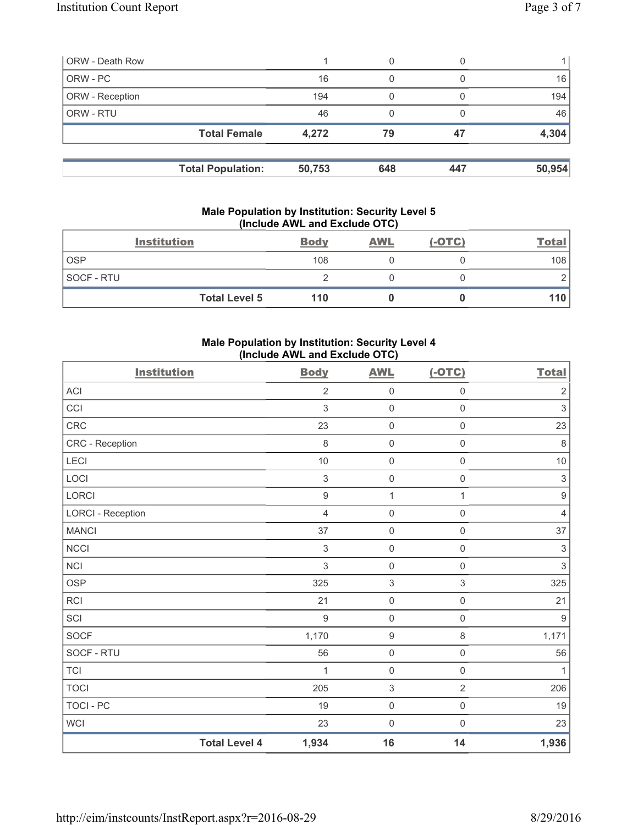| <b>ORW - Death Row</b> |                          |        | 0   |     |        |
|------------------------|--------------------------|--------|-----|-----|--------|
| ORW - PC               |                          | 16     | 0   |     | 16     |
| ORW - Reception        |                          | 194    | 0   |     | 194    |
| ORW - RTU              |                          | 46     |     |     | 46     |
|                        | <b>Total Female</b>      | 4,272  | 79  | 47  | 4,304  |
|                        |                          |        |     |     |        |
|                        | <b>Total Population:</b> | 50,753 | 648 | 447 | 50,954 |

#### **Male Population by Institution: Security Level 5 (Include AWL and Exclude OTC)**

|            | <b>Institution</b>   | <b>Body</b> | <b>AWL</b> | $(-OTC)$ | <b>Total</b> |
|------------|----------------------|-------------|------------|----------|--------------|
| <b>OSP</b> |                      | 108         |            |          | 108          |
| SOCF - RTU |                      |             |            |          |              |
|            | <b>Total Level 5</b> | 110         |            |          | 110'         |

## **Male Population by Institution: Security Level 4 (Include AWL and Exclude OTC)**

| <b>Institution</b>       |                      | <b>Body</b>      | <b>AWL</b>                | $(-OTC)$            | <b>Total</b>              |
|--------------------------|----------------------|------------------|---------------------------|---------------------|---------------------------|
| <b>ACI</b>               |                      | $\overline{2}$   | $\mathsf 0$               | 0                   | $\sqrt{2}$                |
| CCI                      |                      | 3                | $\mathbf 0$               | $\mathsf 0$         | $\sqrt{3}$                |
| CRC                      |                      | 23               | $\mathsf{O}\xspace$       | $\mathsf{O}\xspace$ | 23                        |
| CRC - Reception          |                      | $\,8\,$          | $\mathsf{O}\xspace$       | $\mathsf 0$         | $\,8\,$                   |
| LECI                     |                      | 10               | $\mathbf 0$               | $\mathsf{O}\xspace$ | $10$                      |
| LOCI                     |                      | 3                | $\mathsf{O}\xspace$       | $\mathsf{O}\xspace$ | $\ensuremath{\mathsf{3}}$ |
| LORCI                    |                      | $\boldsymbol{9}$ | $\mathbf{1}$              | 1                   | $\boldsymbol{9}$          |
| <b>LORCI - Reception</b> |                      | $\overline{4}$   | $\mathbf 0$               | $\mathsf{O}\xspace$ | $\overline{4}$            |
| <b>MANCI</b>             |                      | 37               | $\mathsf 0$               | $\mathsf{O}\xspace$ | 37                        |
| NCCI                     |                      | $\sqrt{3}$       | $\mathbf 0$               | $\mathsf{O}\xspace$ | $\ensuremath{\mathsf{3}}$ |
| <b>NCI</b>               |                      | $\mathfrak{S}$   | $\mathbf 0$               | $\mathsf{O}\xspace$ | $\mathsf 3$               |
| <b>OSP</b>               |                      | 325              | $\ensuremath{\mathsf{3}}$ | 3                   | 325                       |
| RCI                      |                      | 21               | $\mathsf 0$               | $\mathsf{O}\xspace$ | 21                        |
| SCI                      |                      | $\boldsymbol{9}$ | $\mathbf 0$               | $\mathsf{O}\xspace$ | $\boldsymbol{9}$          |
| <b>SOCF</b>              |                      | 1,170            | $\boldsymbol{9}$          | 8                   | 1,171                     |
| SOCF - RTU               |                      | 56               | $\mathsf 0$               | $\mathsf{O}\xspace$ | 56                        |
| <b>TCI</b>               |                      | 1                | $\mathbf 0$               | $\mathsf 0$         | $\mathbf{1}$              |
| <b>TOCI</b>              |                      | 205              | $\ensuremath{\mathsf{3}}$ | $\overline{2}$      | 206                       |
| <b>TOCI - PC</b>         |                      | 19               | $\mathsf 0$               | $\mathsf{O}\xspace$ | 19                        |
| WCI                      |                      | 23               | $\mathsf 0$               | 0                   | 23                        |
|                          | <b>Total Level 4</b> | 1,934            | 16                        | 14                  | 1,936                     |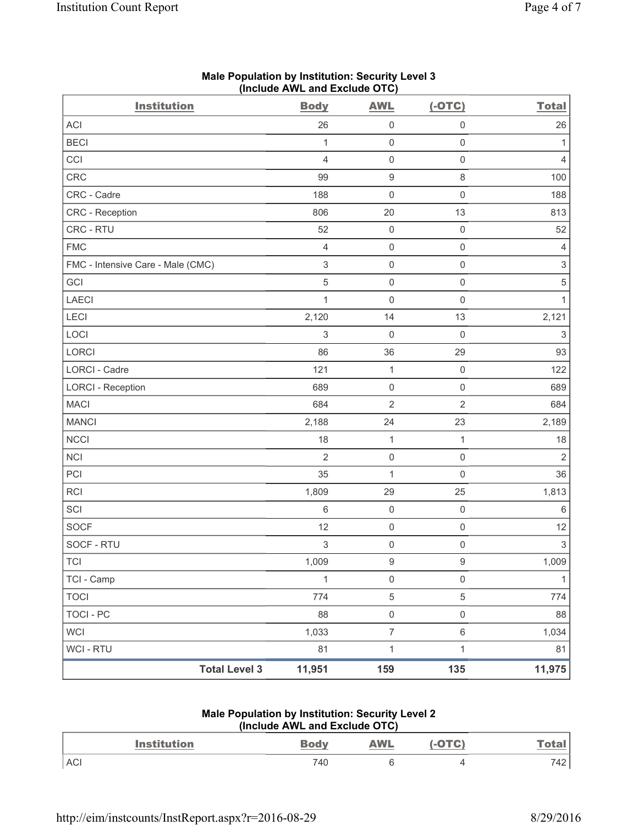| <b>Institution</b>                | <b>Body</b>               | <b>AWL</b>          | $(-OTC)$            | <b>Total</b>              |
|-----------------------------------|---------------------------|---------------------|---------------------|---------------------------|
| <b>ACI</b>                        | 26                        | $\mathsf 0$         | $\mathsf 0$         | 26                        |
| <b>BECI</b>                       | 1                         | $\mathsf{O}\xspace$ | $\mathsf 0$         | 1                         |
| CCI                               | $\overline{4}$            | $\mathsf{O}\xspace$ | $\mathsf 0$         | $\overline{4}$            |
| CRC                               | 99                        | $\boldsymbol{9}$    | 8                   | 100                       |
| CRC - Cadre                       | 188                       | 0                   | $\mathsf 0$         | 188                       |
| CRC - Reception                   | 806                       | 20                  | 13                  | 813                       |
| CRC - RTU                         | 52                        | $\mathsf{O}\xspace$ | $\mathsf 0$         | 52                        |
| <b>FMC</b>                        | $\overline{4}$            | $\mathsf{O}\xspace$ | $\mathsf 0$         | 4                         |
| FMC - Intensive Care - Male (CMC) | $\,$ 3 $\,$               | 0                   | $\mathsf 0$         | $\ensuremath{\mathsf{3}}$ |
| GCI                               | $\overline{5}$            | $\mathsf{O}\xspace$ | $\mathsf 0$         | $\,$ 5 $\,$               |
| <b>LAECI</b>                      | $\mathbf{1}$              | 0                   | $\mathbf 0$         | $\mathbf{1}$              |
| <b>LECI</b>                       | 2,120                     | 14                  | 13                  | 2,121                     |
| LOCI                              | $\,$ 3 $\,$               | $\mathbf 0$         | $\mathbf 0$         | $\ensuremath{\mathsf{3}}$ |
| LORCI                             | 86                        | 36                  | 29                  | 93                        |
| LORCI - Cadre                     | 121                       | $\mathbf{1}$        | $\mathsf 0$         | 122                       |
| <b>LORCI - Reception</b>          | 689                       | 0                   | $\mathsf 0$         | 689                       |
| <b>MACI</b>                       | 684                       | $\overline{2}$      | $\sqrt{2}$          | 684                       |
| <b>MANCI</b>                      | 2,188                     | 24                  | 23                  | 2,189                     |
| <b>NCCI</b>                       | 18                        | $\mathbf{1}$        | 1                   | 18                        |
| <b>NCI</b>                        | $\overline{2}$            | $\mathsf{O}\xspace$ | $\mathsf 0$         | $\sqrt{2}$                |
| PCI                               | 35                        | 1                   | $\mathbf 0$         | 36                        |
| <b>RCI</b>                        | 1,809                     | 29                  | 25                  | 1,813                     |
| SCI                               | $\,6$                     | $\mathsf{O}\xspace$ | $\mathsf 0$         | 6                         |
| <b>SOCF</b>                       | 12                        | $\mathsf{O}\xspace$ | $\mathsf 0$         | 12                        |
| SOCF - RTU                        | $\ensuremath{\mathsf{3}}$ | 0                   | $\mathsf 0$         | $\ensuremath{\mathsf{3}}$ |
| TCI                               | 1,009                     | $\mathsf g$         | $\mathsf g$         | 1,009                     |
| TCI - Camp                        | $\mathbf{1}$              | $\mathsf{O}\xspace$ | $\mathsf{O}\xspace$ | 1                         |
| <b>TOCI</b>                       | 774                       | $\,$ 5 $\,$         | 5                   | 774                       |
| <b>TOCI - PC</b>                  | 88                        | $\mathsf{O}\xspace$ | $\mathsf{O}\xspace$ | 88                        |
| <b>WCI</b>                        | 1,033                     | $\boldsymbol{7}$    | $\,6\,$             | 1,034                     |
| WCI - RTU                         | 81                        | $\mathbf 1$         | $\mathbf{1}$        | 81                        |
| <b>Total Level 3</b>              | 11,951                    | 159                 | 135                 | 11,975                    |

# **Male Population by Institution: Security Level 3 (Include AWL and Exclude OTC)**

### **Male Population by Institution: Security Level 2 (Include AWL and Exclude OTC)**

| Institution | Bodv | <b>AWL</b> | <b>ATA</b> |     |
|-------------|------|------------|------------|-----|
| <b>ACI</b>  | 740  |            |            | 742 |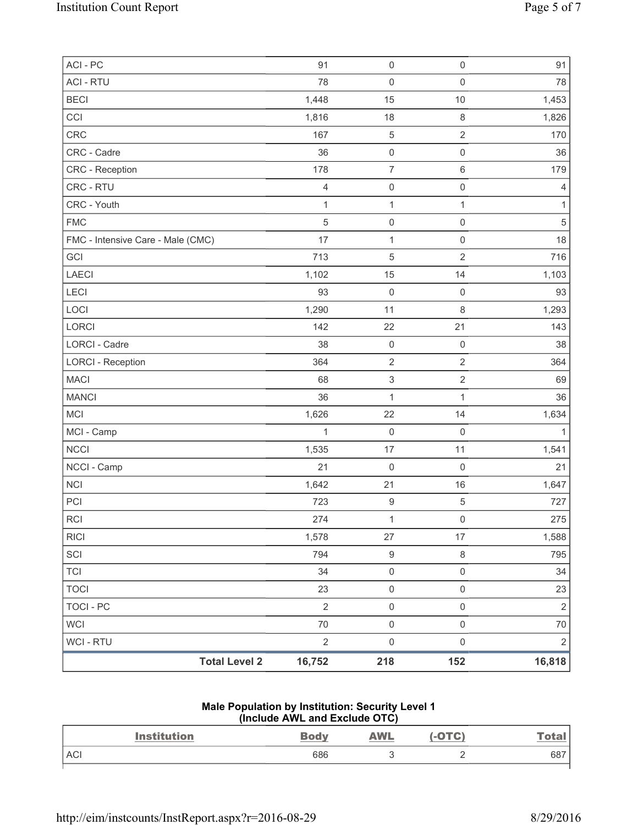| ACI-PC                            | 91             | $\mathsf{O}\xspace$       | $\mathsf{O}\xspace$ | 91             |
|-----------------------------------|----------------|---------------------------|---------------------|----------------|
| <b>ACI - RTU</b>                  | 78             | $\mathsf 0$               | $\mathsf{O}\xspace$ | 78             |
| <b>BECI</b>                       | 1,448          | 15                        | 10                  | 1,453          |
| CCI                               | 1,816          | 18                        | $\,8\,$             | 1,826          |
| <b>CRC</b>                        | 167            | $\,$ 5 $\,$               | $\overline{2}$      | 170            |
| CRC - Cadre                       | 36             | $\mathsf 0$               | $\mathsf{O}\xspace$ | 36             |
| CRC - Reception                   | 178            | $\overline{7}$            | 6                   | 179            |
| CRC - RTU                         | $\overline{4}$ | $\mathsf{O}\xspace$       | $\mathsf 0$         | 4              |
| CRC - Youth                       | $\mathbf{1}$   | $\mathbf{1}$              | $\mathbf{1}$        | $\mathbf{1}$   |
| <b>FMC</b>                        | $\sqrt{5}$     | $\mathsf{O}\xspace$       | $\mathsf{O}\xspace$ | $\,$ 5 $\,$    |
| FMC - Intensive Care - Male (CMC) | 17             | $\mathbf 1$               | $\mathsf{O}\xspace$ | 18             |
| GCI                               | 713            | $\,$ 5 $\,$               | $\overline{2}$      | 716            |
| <b>LAECI</b>                      | 1,102          | 15                        | 14                  | 1,103          |
| LECI                              | 93             | $\mathbf 0$               | $\mathsf{O}\xspace$ | 93             |
| LOCI                              | 1,290          | 11                        | 8                   | 1,293          |
| LORCI                             | 142            | 22                        | 21                  | 143            |
| LORCI - Cadre                     | 38             | $\mathsf{O}\xspace$       | $\mathsf 0$         | 38             |
| <b>LORCI - Reception</b>          | 364            | $\mathbf 2$               | $\overline{2}$      | 364            |
| <b>MACI</b>                       | 68             | $\ensuremath{\mathsf{3}}$ | $\overline{2}$      | 69             |
| <b>MANCI</b>                      | 36             | $\mathbf{1}$              | $\mathbf{1}$        | 36             |
| <b>MCI</b>                        | 1,626          | 22                        | 14                  | 1,634          |
| MCI - Camp                        | 1              | $\mathsf{O}\xspace$       | $\mathsf 0$         | $\mathbf{1}$   |
| <b>NCCI</b>                       | 1,535          | 17                        | 11                  | 1,541          |
| NCCI - Camp                       | 21             | $\mathbf 0$               | $\mathsf 0$         | 21             |
| <b>NCI</b>                        | 1,642          | 21                        | 16                  | 1,647          |
| PCI                               | 723            | $\boldsymbol{9}$          | $\,$ 5 $\,$         | 727            |
| <b>RCI</b>                        | 274            | $\mathbf{1}$              | $\mathsf{O}\xspace$ | 275            |
| <b>RICI</b>                       | 1,578          | 27                        | 17                  | 1,588          |
| SCI                               | 794            | $\boldsymbol{9}$          | 8                   | 795            |
| <b>TCI</b>                        | 34             | $\mathsf{O}\xspace$       | $\mathsf{O}\xspace$ | 34             |
| <b>TOCI</b>                       | 23             | $\mathsf{O}\xspace$       | $\mathsf{O}\xspace$ | 23             |
| <b>TOCI - PC</b>                  | $\overline{2}$ | $\mathsf{O}\xspace$       | $\mathsf{O}\xspace$ | $\sqrt{2}$     |
| <b>WCI</b>                        | 70             | $\mathsf{O}\xspace$       | $\mathsf{O}\xspace$ | 70             |
| WCI - RTU                         | $\sqrt{2}$     | $\mathsf 0$               | $\mathsf{O}\xspace$ | $\overline{2}$ |
| <b>Total Level 2</b>              | 16,752         | 218                       | 152                 | 16,818         |

# **Male Population by Institution: Security Level 1 (Include AWL and Exclude OTC)**

| <b>Institution</b> | <b>Body</b> | <b>AWL</b> | $( -$ OTC $)$ | <u>Tota.</u> |
|--------------------|-------------|------------|---------------|--------------|
| <b>ACI</b>         | 686         |            | -             | 687          |
|                    |             |            |               |              |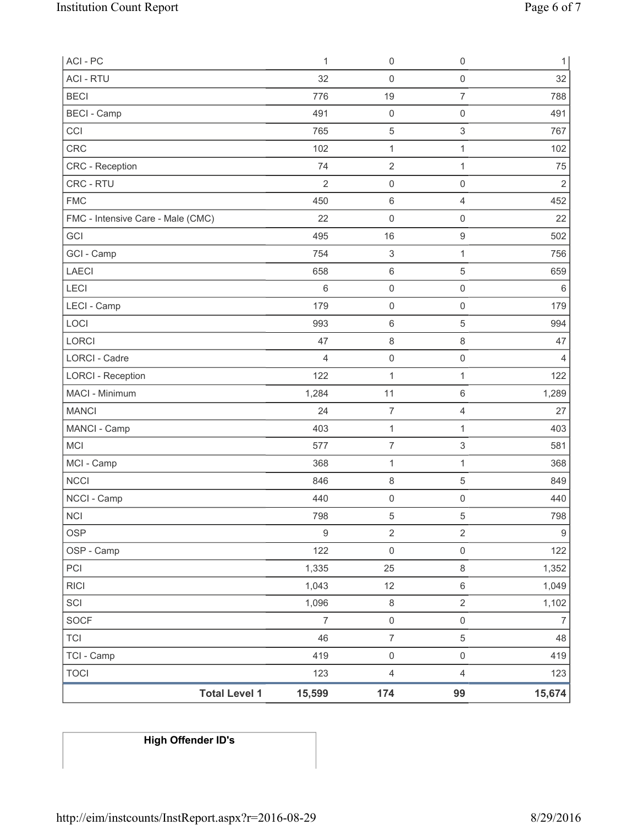| ACI - PC                          | 1                | 0                         | $\mathsf 0$         | $\mathbf{1}$     |
|-----------------------------------|------------------|---------------------------|---------------------|------------------|
| <b>ACI - RTU</b>                  | 32               | $\mathsf 0$               | $\mathsf 0$         | 32               |
| <b>BECI</b>                       | 776              | 19                        | $\overline{7}$      | 788              |
| <b>BECI</b> - Camp                | 491              | $\mathsf 0$               | $\mathsf{O}\xspace$ | 491              |
| CCI                               | 765              | 5                         | 3                   | 767              |
| <b>CRC</b>                        | 102              | 1                         | $\mathbf{1}$        | 102              |
| CRC - Reception                   | 74               | $\sqrt{2}$                | $\mathbf{1}$        | 75               |
| CRC - RTU                         | $\overline{2}$   | 0                         | $\mathsf 0$         | $\mathbf 2$      |
| <b>FMC</b>                        | 450              | 6                         | $\overline{4}$      | 452              |
| FMC - Intensive Care - Male (CMC) | 22               | 0                         | $\mathsf{O}\xspace$ | 22               |
| GCI                               | 495              | 16                        | $\boldsymbol{9}$    | 502              |
| GCI - Camp                        | 754              | $\ensuremath{\mathsf{3}}$ | 1                   | 756              |
| <b>LAECI</b>                      | 658              | 6                         | 5                   | 659              |
| LECI                              | $\,6$            | 0                         | $\mathsf{O}\xspace$ | $6\,$            |
| LECI - Camp                       | 179              | $\mathsf 0$               | $\mathsf{O}\xspace$ | 179              |
| LOCI                              | 993              | 6                         | $\,$ 5 $\,$         | 994              |
| <b>LORCI</b>                      | 47               | 8                         | $\,8\,$             | 47               |
| <b>LORCI - Cadre</b>              | $\overline{4}$   | $\mathsf{O}\xspace$       | $\mathsf 0$         | 4                |
| <b>LORCI - Reception</b>          | 122              | 1                         | $\mathbf{1}$        | 122              |
| MACI - Minimum                    | 1,284            | 11                        | $\,6\,$             | 1,289            |
| <b>MANCI</b>                      | 24               | $\overline{7}$            | $\overline{4}$      | 27               |
| MANCI - Camp                      | 403              | $\mathbf 1$               | $\mathbf{1}$        | 403              |
| <b>MCI</b>                        | 577              | $\boldsymbol{7}$          | 3                   | 581              |
| MCI - Camp                        | 368              | $\mathbf 1$               | $\mathbf{1}$        | 368              |
| <b>NCCI</b>                       | 846              | 8                         | 5                   | 849              |
| NCCI - Camp                       | 440              | $\mathsf 0$               | $\mathsf{O}\xspace$ | 440              |
| NCI                               | 798              | 5                         | 5                   | 798              |
| <b>OSP</b>                        | $\boldsymbol{9}$ | $\mathbf 2$               | $\sqrt{2}$          | $\boldsymbol{9}$ |
| OSP - Camp                        | 122              | $\mathsf{O}\xspace$       | $\mathsf{O}\xspace$ | 122              |
| PCI                               | 1,335            | 25                        | $\,8\,$             | 1,352            |
| <b>RICI</b>                       | 1,043            | 12                        | $\,6\,$             | 1,049            |
| SCI                               | 1,096            | $\,8\,$                   | $\sqrt{2}$          | 1,102            |
| SOCF                              | $\overline{7}$   | $\mathsf{O}\xspace$       | $\mathsf{O}\xspace$ | $\overline{7}$   |
| <b>TCI</b>                        | 46               | $\overline{7}$            | $\,$ 5 $\,$         | 48               |
| TCI - Camp                        | 419              | $\mathsf{O}\xspace$       | $\mathsf 0$         | 419              |
| <b>TOCI</b>                       | 123              | $\overline{\mathbf{4}}$   | $\overline{4}$      | 123              |
| <b>Total Level 1</b>              | 15,599           | 174                       | 99                  | 15,674           |

# **High Offender ID's**